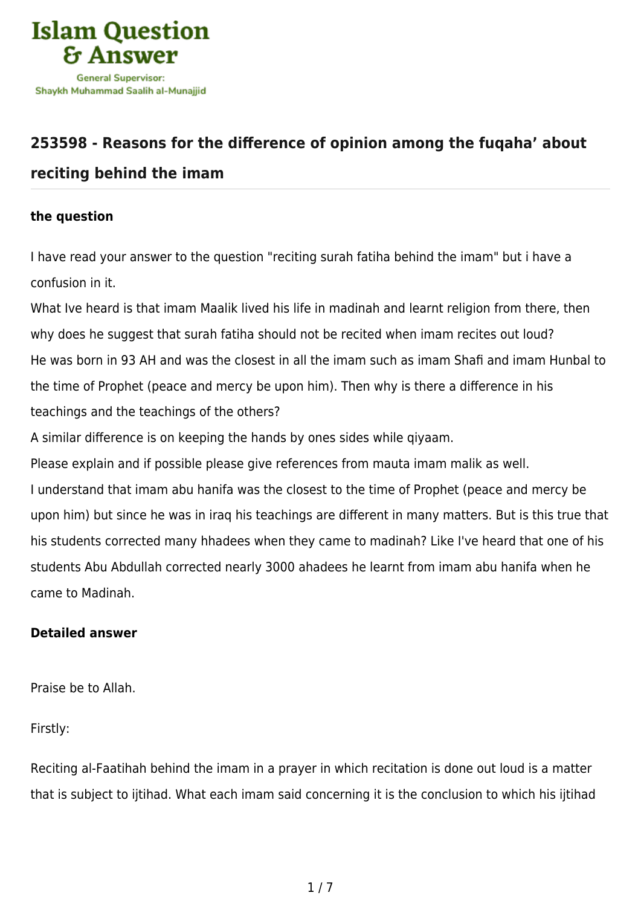

## **[253598 - Reasons for the difference of opinion among the fuqaha' about](https://islamqa.com/en/answers/253598/reasons-for-the-difference-of-opinion-among-the-fuqaha-about-reciting-behind-the-imam) [reciting behind the imam](https://islamqa.com/en/answers/253598/reasons-for-the-difference-of-opinion-among-the-fuqaha-about-reciting-behind-the-imam)**

## **the question**

I have read your answer to the question "reciting surah fatiha behind the imam" but i have a confusion in it.

What Ive heard is that imam Maalik lived his life in madinah and learnt religion from there, then why does he suggest that surah fatiha should not be recited when imam recites out loud? He was born in 93 AH and was the closest in all the imam such as imam Shafi and imam Hunbal to the time of Prophet (peace and mercy be upon him). Then why is there a difference in his teachings and the teachings of the others?

A similar difference is on keeping the hands by ones sides while qiyaam.

Please explain and if possible please give references from mauta imam malik as well.

I understand that imam abu hanifa was the closest to the time of Prophet (peace and mercy be upon him) but since he was in iraq his teachings are different in many matters. But is this true that his students corrected many hhadees when they came to madinah? Like I've heard that one of his students Abu Abdullah corrected nearly 3000 ahadees he learnt from imam abu hanifa when he came to Madinah.

## **Detailed answer**

Praise be to Allah.

Firstly:

Reciting al-Faatihah behind the imam in a prayer in which recitation is done out loud is a matter that is subject to ijtihad. What each imam said concerning it is the conclusion to which his ijtihad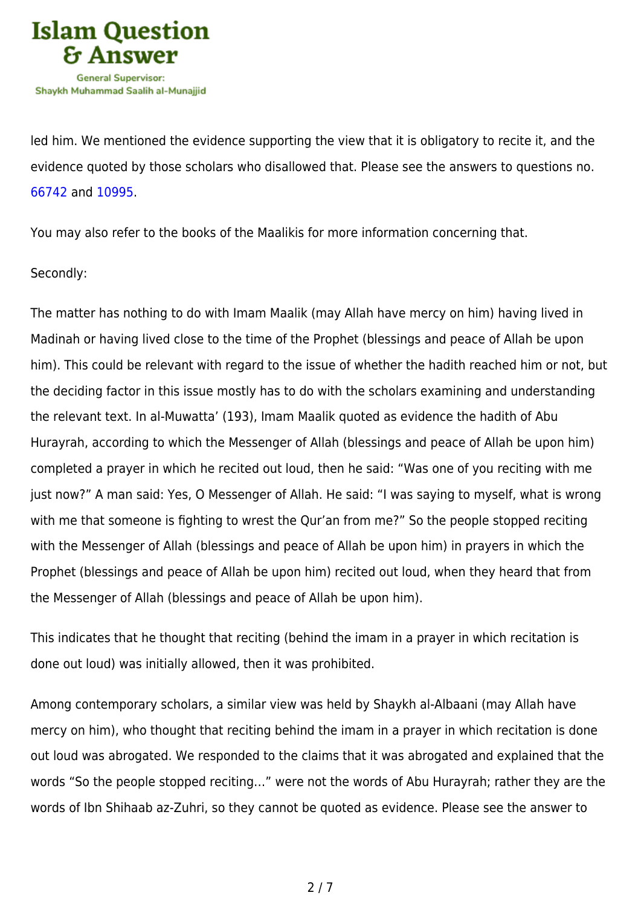

led him. We mentioned the evidence supporting the view that it is obligatory to recite it, and the evidence quoted by those scholars who disallowed that. Please see the answers to questions no. [66742](https://islamqa.com/en/answers/66742) and [10995](https://islamqa.com/en/answers/10995).

You may also refer to the books of the Maalikis for more information concerning that.

## Secondly:

The matter has nothing to do with Imam Maalik (may Allah have mercy on him) having lived in Madinah or having lived close to the time of the Prophet (blessings and peace of Allah be upon him). This could be relevant with regard to the issue of whether the hadith reached him or not, but the deciding factor in this issue mostly has to do with the scholars examining and understanding the relevant text. In al-Muwatta' (193), Imam Maalik quoted as evidence the hadith of Abu Hurayrah, according to which the Messenger of Allah (blessings and peace of Allah be upon him) completed a prayer in which he recited out loud, then he said: "Was one of you reciting with me just now?" A man said: Yes, O Messenger of Allah. He said: "I was saying to myself, what is wrong with me that someone is fighting to wrest the Qur'an from me?" So the people stopped reciting with the Messenger of Allah (blessings and peace of Allah be upon him) in prayers in which the Prophet (blessings and peace of Allah be upon him) recited out loud, when they heard that from the Messenger of Allah (blessings and peace of Allah be upon him).

This indicates that he thought that reciting (behind the imam in a prayer in which recitation is done out loud) was initially allowed, then it was prohibited.

Among contemporary scholars, a similar view was held by Shaykh al-Albaani (may Allah have mercy on him), who thought that reciting behind the imam in a prayer in which recitation is done out loud was abrogated. We responded to the claims that it was abrogated and explained that the words "So the people stopped reciting…" were not the words of Abu Hurayrah; rather they are the words of Ibn Shihaab az-Zuhri, so they cannot be quoted as evidence. Please see the answer to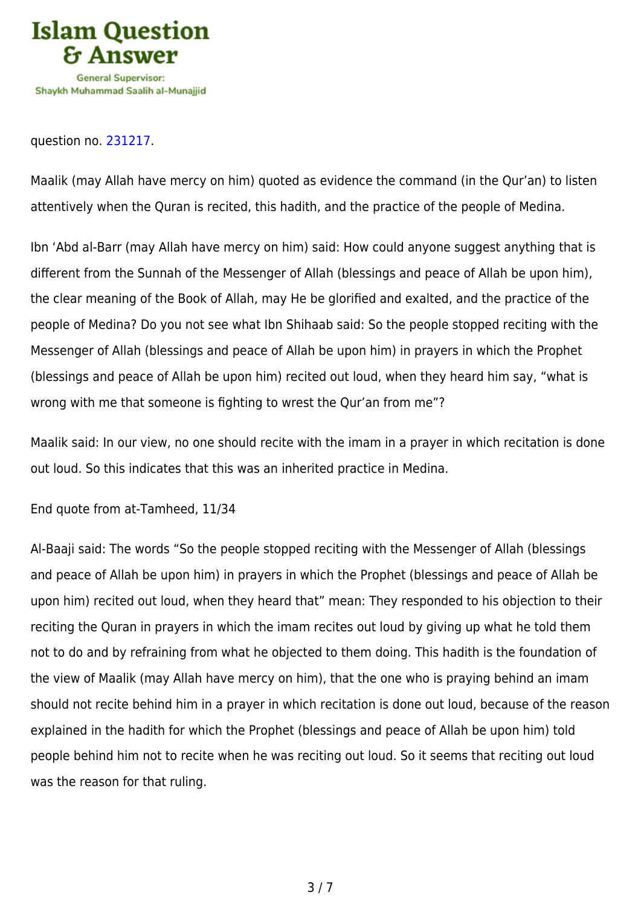

question no. [231217.](https://islamqa.com/en/answers/231217)

Maalik (may Allah have mercy on him) quoted as evidence the command (in the Qur'an) to listen attentively when the Quran is recited, this hadith, and the practice of the people of Medina.

Ibn 'Abd al-Barr (may Allah have mercy on him) said: How could anyone suggest anything that is different from the Sunnah of the Messenger of Allah (blessings and peace of Allah be upon him), the clear meaning of the Book of Allah, may He be glorified and exalted, and the practice of the people of Medina? Do you not see what Ibn Shihaab said: So the people stopped reciting with the Messenger of Allah (blessings and peace of Allah be upon him) in prayers in which the Prophet (blessings and peace of Allah be upon him) recited out loud, when they heard him say, "what is wrong with me that someone is fighting to wrest the Qur'an from me"?

Maalik said: In our view, no one should recite with the imam in a prayer in which recitation is done out loud. So this indicates that this was an inherited practice in Medina.

End quote from at-Tamheed, 11/34

Al-Baaji said: The words "So the people stopped reciting with the Messenger of Allah (blessings and peace of Allah be upon him) in prayers in which the Prophet (blessings and peace of Allah be upon him) recited out loud, when they heard that" mean: They responded to his objection to their reciting the Quran in prayers in which the imam recites out loud by giving up what he told them not to do and by refraining from what he objected to them doing. This hadith is the foundation of the view of Maalik (may Allah have mercy on him), that the one who is praying behind an imam should not recite behind him in a prayer in which recitation is done out loud, because of the reason explained in the hadith for which the Prophet (blessings and peace of Allah be upon him) told people behind him not to recite when he was reciting out loud. So it seems that reciting out loud was the reason for that ruling.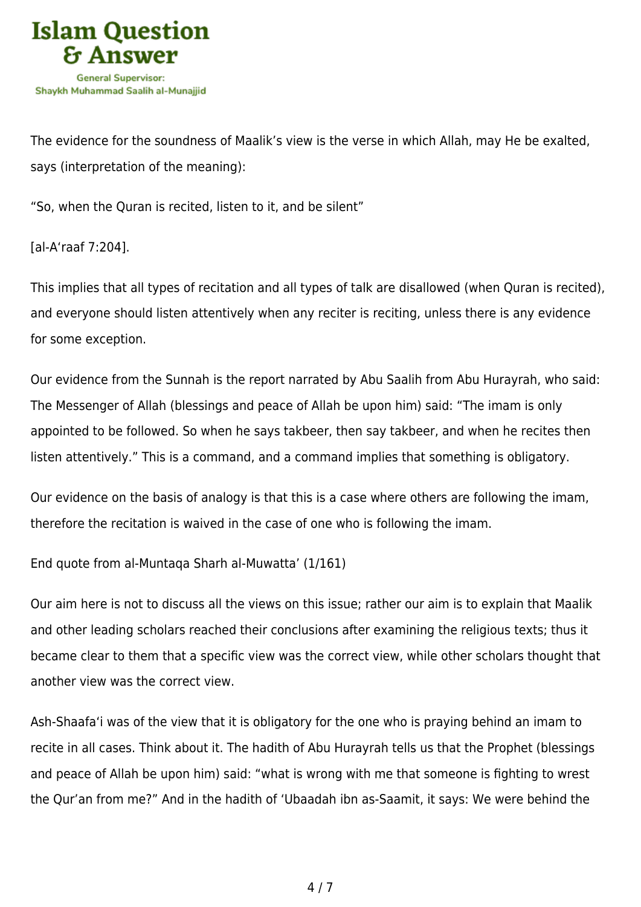

The evidence for the soundness of Maalik's view is the verse in which Allah, may He be exalted, says (interpretation of the meaning):

"So, when the Quran is recited, listen to it, and be silent"

[al-A'raaf 7:204].

This implies that all types of recitation and all types of talk are disallowed (when Quran is recited), and everyone should listen attentively when any reciter is reciting, unless there is any evidence for some exception.

Our evidence from the Sunnah is the report narrated by Abu Saalih from Abu Hurayrah, who said: The Messenger of Allah (blessings and peace of Allah be upon him) said: "The imam is only appointed to be followed. So when he says takbeer, then say takbeer, and when he recites then listen attentively." This is a command, and a command implies that something is obligatory.

Our evidence on the basis of analogy is that this is a case where others are following the imam, therefore the recitation is waived in the case of one who is following the imam.

End quote from al-Muntaqa Sharh al-Muwatta' (1/161)

Our aim here is not to discuss all the views on this issue; rather our aim is to explain that Maalik and other leading scholars reached their conclusions after examining the religious texts; thus it became clear to them that a specific view was the correct view, while other scholars thought that another view was the correct view.

Ash-Shaafa'i was of the view that it is obligatory for the one who is praying behind an imam to recite in all cases. Think about it. The hadith of Abu Hurayrah tells us that the Prophet (blessings and peace of Allah be upon him) said: "what is wrong with me that someone is fighting to wrest the Qur'an from me?" And in the hadith of 'Ubaadah ibn as-Saamit, it says: We were behind the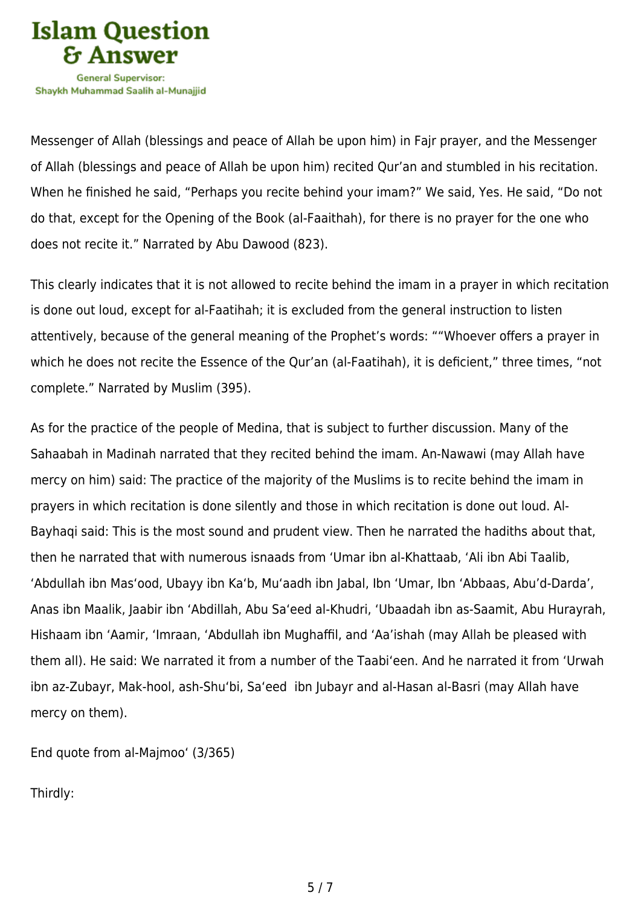

Messenger of Allah (blessings and peace of Allah be upon him) in Fajr prayer, and the Messenger of Allah (blessings and peace of Allah be upon him) recited Qur'an and stumbled in his recitation. When he finished he said, "Perhaps you recite behind your imam?" We said, Yes. He said, "Do not do that, except for the Opening of the Book (al-Faaithah), for there is no prayer for the one who does not recite it." Narrated by Abu Dawood (823).

This clearly indicates that it is not allowed to recite behind the imam in a prayer in which recitation is done out loud, except for al-Faatihah; it is excluded from the general instruction to listen attentively, because of the general meaning of the Prophet's words: ""Whoever offers a prayer in which he does not recite the Essence of the Qur'an (al-Faatihah), it is deficient," three times, "not complete." Narrated by Muslim (395).

As for the practice of the people of Medina, that is subject to further discussion. Many of the Sahaabah in Madinah narrated that they recited behind the imam. An-Nawawi (may Allah have mercy on him) said: The practice of the majority of the Muslims is to recite behind the imam in prayers in which recitation is done silently and those in which recitation is done out loud. Al-Bayhaqi said: This is the most sound and prudent view. Then he narrated the hadiths about that, then he narrated that with numerous isnaads from 'Umar ibn al-Khattaab, 'Ali ibn Abi Taalib, 'Abdullah ibn Mas'ood, Ubayy ibn Ka'b, Mu'aadh ibn Jabal, Ibn 'Umar, Ibn 'Abbaas, Abu'd-Darda', Anas ibn Maalik, Jaabir ibn 'Abdillah, Abu Sa'eed al-Khudri, 'Ubaadah ibn as-Saamit, Abu Hurayrah, Hishaam ibn 'Aamir, 'Imraan, 'Abdullah ibn Mughaffil, and 'Aa'ishah (may Allah be pleased with them all). He said: We narrated it from a number of the Taabi'een. And he narrated it from 'Urwah ibn az-Zubayr, Mak-hool, ash-Shu'bi, Sa'eed ibn Jubayr and al-Hasan al-Basri (may Allah have mercy on them).

End quote from al-Majmoo' (3/365)

Thirdly: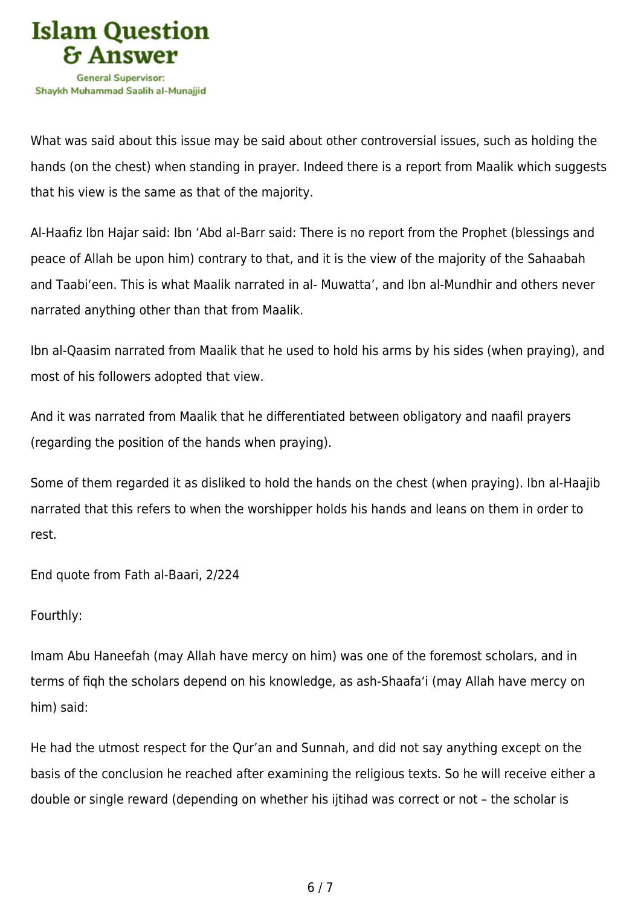

What was said about this issue may be said about other controversial issues, such as holding the hands (on the chest) when standing in prayer. Indeed there is a report from Maalik which suggests that his view is the same as that of the majority.

Al-Haafiz Ibn Hajar said: Ibn 'Abd al-Barr said: There is no report from the Prophet (blessings and peace of Allah be upon him) contrary to that, and it is the view of the majority of the Sahaabah and Taabi'een. This is what Maalik narrated in al- Muwatta', and Ibn al-Mundhir and others never narrated anything other than that from Maalik.

Ibn al-Qaasim narrated from Maalik that he used to hold his arms by his sides (when praying), and most of his followers adopted that view.

And it was narrated from Maalik that he differentiated between obligatory and naafil prayers (regarding the position of the hands when praying).

Some of them regarded it as disliked to hold the hands on the chest (when praying). Ibn al-Haajib narrated that this refers to when the worshipper holds his hands and leans on them in order to rest.

End quote from Fath al-Baari, 2/224

Fourthly:

Imam Abu Haneefah (may Allah have mercy on him) was one of the foremost scholars, and in terms of fiqh the scholars depend on his knowledge, as ash-Shaafa'i (may Allah have mercy on him) said:

He had the utmost respect for the Qur'an and Sunnah, and did not say anything except on the basis of the conclusion he reached after examining the religious texts. So he will receive either a double or single reward (depending on whether his ijtihad was correct or not – the scholar is